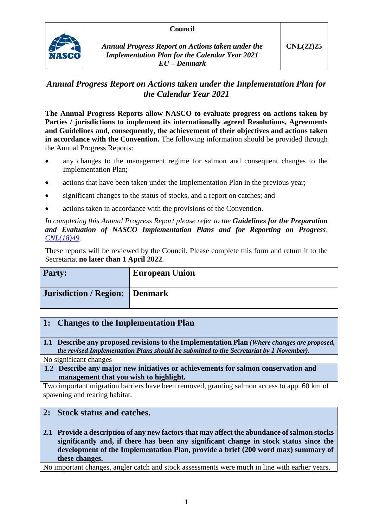### **Council**



*Annual Progress Report on Actions taken under the Implementation Plan for the Calendar Year 2021 EU – Denmark*

# *Annual Progress Report on Actions taken under the Implementation Plan for the Calendar Year 2021*

**The Annual Progress Reports allow NASCO to evaluate progress on actions taken by Parties / jurisdictions to implement its internationally agreed Resolutions, Agreements and Guidelines and, consequently, the achievement of their objectives and actions taken in accordance with the Convention.** The following information should be provided through the Annual Progress Reports:

- any changes to the management regime for salmon and consequent changes to the Implementation Plan;
- actions that have been taken under the Implementation Plan in the previous year;
- significant changes to the status of stocks, and a report on catches; and
- actions taken in accordance with the provisions of the Convention.

*In completing this Annual Progress Report please refer to the Guidelines for the Preparation and Evaluation of NASCO Implementation Plans and for Reporting on Progress, [CNL\(18\)49.](https://nasco.int/wp-content/uploads/2020/02/CNL1849_Guidelines-for-the-Preparation-and-Evaluation-of-NASCO-Implementation-Plans-and-for-Reporting-on-Progress.pdf)*

These reports will be reviewed by the Council. Please complete this form and return it to the Secretariat **no later than 1 April 2022**.

| <b>Party:</b>                         | <b>European Union</b> |
|---------------------------------------|-----------------------|
| <b>Jurisdiction / Region: Denmark</b> |                       |

## **1: Changes to the Implementation Plan**

**1.1 Describe any proposed revisions to the Implementation Plan** *(Where changes are proposed, the revised Implementation Plans should be submitted to the Secretariat by 1 November).*

No significant changes

**1.2 Describe any major new initiatives or achievements for salmon conservation and management that you wish to highlight.**

Two important migration barriers have been removed, granting salmon access to app. 60 km of spawning and rearing habitat.

## **2: Stock status and catches.**

**2.1 Provide a description of any new factors that may affect the abundance of salmon stocks significantly and, if there has been any significant change in stock status since the development of the Implementation Plan, provide a brief (200 word max) summary of these changes.**

No important changes, angler catch and stock assessments were much in line with earlier years.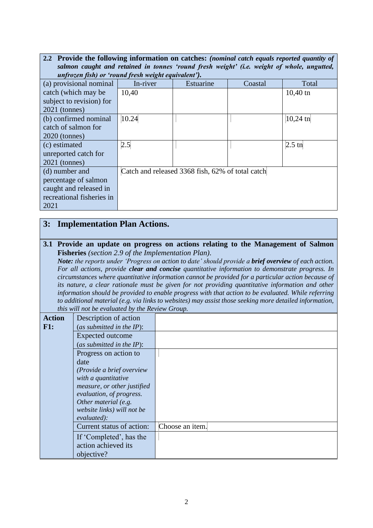| 2.2 Provide the following information on catches: (nominal catch equals reported quantity of<br>salmon caught and retained in tonnes 'round fresh weight' (i.e. weight of whole, ungutted, |                                                  |           |         |                    |
|--------------------------------------------------------------------------------------------------------------------------------------------------------------------------------------------|--------------------------------------------------|-----------|---------|--------------------|
| unfrozen fish) or 'round fresh weight equivalent').                                                                                                                                        |                                                  |           |         |                    |
| (a) provisional nominal                                                                                                                                                                    | In-river                                         | Estuarine | Coastal | Total              |
| catch (which may be                                                                                                                                                                        | 10,40                                            |           |         | $10,40 \text{ th}$ |
| subject to revision) for                                                                                                                                                                   |                                                  |           |         |                    |
| $2021$ (tonnes)                                                                                                                                                                            |                                                  |           |         |                    |
| (b) confirmed nominal                                                                                                                                                                      | 10.24                                            |           |         | $10,24 \text{ th}$ |
| catch of salmon for                                                                                                                                                                        |                                                  |           |         |                    |
| $2020$ (tonnes)                                                                                                                                                                            |                                                  |           |         |                    |
| (c) estimated                                                                                                                                                                              | 2.5                                              |           |         | $2.5 \text{ th}$   |
| unreported catch for                                                                                                                                                                       |                                                  |           |         |                    |
| $2021$ (tonnes)                                                                                                                                                                            |                                                  |           |         |                    |
| (d) number and                                                                                                                                                                             | Catch and released 3368 fish, 62% of total catch |           |         |                    |
| percentage of salmon                                                                                                                                                                       |                                                  |           |         |                    |
| caught and released in                                                                                                                                                                     |                                                  |           |         |                    |
| recreational fisheries in                                                                                                                                                                  |                                                  |           |         |                    |
| 2021                                                                                                                                                                                       |                                                  |           |         |                    |

# **3: Implementation Plan Actions.**

#### **3.1 Provide an update on progress on actions relating to the Management of Salmon Fisheries** *(section 2.9 of the Implementation Plan).*

*Note: the reports under 'Progress on action to date' should provide a brief overview of each action. For all actions, provide clear and concise quantitative information to demonstrate progress. In circumstances where quantitative information cannot be provided for a particular action because of its nature, a clear rationale must be given for not providing quantitative information and other information should be provided to enable progress with that action to be evaluated. While referring to additional material (e.g. via links to websites) may assist those seeking more detailed information, this will not be evaluated by the Review Group.*

| <b>Action</b> | Description of action        |                 |
|---------------|------------------------------|-----------------|
| F1:           | (as submitted in the $IP$ ): |                 |
|               | <b>Expected outcome</b>      |                 |
|               | (as submitted in the $IP$ ): |                 |
|               | Progress on action to        |                 |
|               | date                         |                 |
|               | (Provide a brief overview    |                 |
|               | with a quantitative          |                 |
|               | measure, or other justified  |                 |
|               | evaluation, of progress.     |                 |
|               | Other material (e.g.         |                 |
|               | website links) will not be   |                 |
|               | evaluated):                  |                 |
|               | Current status of action:    | Choose an item. |
|               | If 'Completed', has the      |                 |
|               | action achieved its          |                 |
|               | objective?                   |                 |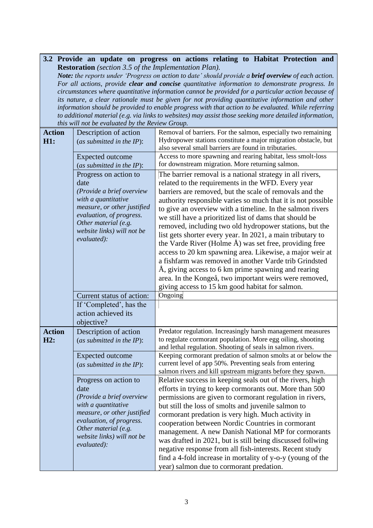#### **3.2 Provide an update on progress on actions relating to Habitat Protection and Restoration** *(section 3.5 of the Implementation Plan).*

*Note: the reports under 'Progress on action to date' should provide a brief overview of each action. For all actions, provide clear and concise quantitative information to demonstrate progress. In circumstances where quantitative information cannot be provided for a particular action because of its nature, a clear rationale must be given for not providing quantitative information and other information should be provided to enable progress with that action to be evaluated. While referring to additional material (e.g. via links to websites) may assist those seeking more detailed information, this will not be evaluated by the Review Group.*

| <b>Action</b> | Description of action        | Removal of barriers. For the salmon, especially two remaining  |
|---------------|------------------------------|----------------------------------------------------------------|
| H1:           | (as submitted in the $IP$ ): | Hydropower stations constitute a major migration obstacle, but |
|               |                              | also several small barriers are found in tributaries.          |
|               | Expected outcome             | Access to more spawning and rearing habitat, less smolt-loss   |
|               |                              | for downstream migration. More returning salmon.               |
|               | (as submitted in the IP):    |                                                                |
|               | Progress on action to        | The barrier removal is a national strategy in all rivers,      |
|               | date                         | related to the requirements in the WFD. Every year             |
|               | (Provide a brief overview    | barriers are removed, but the scale of removals and the        |
|               | with a quantitative          | authority responsible varies so much that it is not possible   |
|               | measure, or other justified  | to give an overview with a timeline. In the salmon rivers      |
|               | evaluation, of progress.     | we still have a prioritized list of dams that should be        |
|               | Other material (e.g.         | removed, including two old hydropower stations, but the        |
|               | website links) will not be   | list gets shorter every year. In 2021, a main tributary to     |
|               | evaluated):                  | the Varde River (Holme Å) was set free, providing free         |
|               |                              | access to 20 km spawning area. Likewise, a major weir at       |
|               |                              | a fishfarm was removed in another Varde trib Grindsted         |
|               |                              |                                                                |
|               |                              | Å, giving access to 6 km prime spawning and rearing            |
|               |                              | area. In the Kongeå, two important weirs were removed,         |
|               |                              | giving access to 15 km good habitat for salmon.                |
|               | Current status of action:    | Ongoing                                                        |
|               | If 'Completed', has the      |                                                                |
|               | action achieved its          |                                                                |
|               | objective?                   |                                                                |
| <b>Action</b> | Description of action        | Predator regulation. Increasingly harsh management measures    |
| H2:           | (as submitted in the $IP$ ): | to regulate cormorant population. More egg oiling, shooting    |
|               |                              | and lethal regulation. Shooting of seals in salmon rivers.     |
|               | Expected outcome             | Keeping cormorant predation of salmon smolts at or below the   |
|               | (as submitted in the IP):    | current level of app 50%. Preventing seals from entering       |
|               |                              | salmon rivers and kill upstream migrants before they spawn.    |
|               | Progress on action to        | Relative success in keeping seals out of the rivers, high      |
|               | date                         | efforts in trying to keep cormorants out. More than 500        |
|               | (Provide a brief overview    | permissions are given to cormorant regulation in rivers,       |
|               | with a quantitative          | but still the loss of smolts and juvenile salmon to            |
|               | measure, or other justified  | cormorant predation is very high. Much activity in             |
|               | evaluation, of progress.     | cooperation between Nordic Countries in cormorant              |
|               | Other material (e.g.         | management. A new Danish National MP for cormorants            |
|               | website links) will not be   |                                                                |
|               | evaluated):                  | was drafted in 2021, but is still being discussed follwing     |
|               |                              | negative response from all fish-interests. Recent study        |
|               |                              | find a 4-fold increase in mortality of y-o-y (young of the     |
|               |                              | year) salmon due to cormorant predation.                       |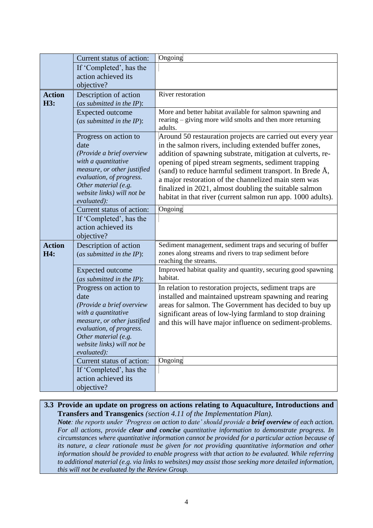|                      | Current status of action:                                                                                                                                                                                         | Ongoing                                                                                                                                                                                                                                                                                                                                                                                                                                                                                  |
|----------------------|-------------------------------------------------------------------------------------------------------------------------------------------------------------------------------------------------------------------|------------------------------------------------------------------------------------------------------------------------------------------------------------------------------------------------------------------------------------------------------------------------------------------------------------------------------------------------------------------------------------------------------------------------------------------------------------------------------------------|
|                      | If 'Completed', has the                                                                                                                                                                                           |                                                                                                                                                                                                                                                                                                                                                                                                                                                                                          |
|                      | action achieved its                                                                                                                                                                                               |                                                                                                                                                                                                                                                                                                                                                                                                                                                                                          |
|                      | objective?                                                                                                                                                                                                        |                                                                                                                                                                                                                                                                                                                                                                                                                                                                                          |
| <b>Action</b><br>H3: | Description of action<br>(as submitted in the $IP$ ):                                                                                                                                                             | River restoration                                                                                                                                                                                                                                                                                                                                                                                                                                                                        |
|                      | <b>Expected</b> outcome<br>(as submitted in the IP):                                                                                                                                                              | More and better habitat available for salmon spawning and<br>rearing – giving more wild smolts and then more returning<br>adults.                                                                                                                                                                                                                                                                                                                                                        |
|                      | Progress on action to<br>date<br>(Provide a brief overview<br>with a quantitative<br>measure, or other justified<br>evaluation, of progress.<br>Other material (e.g.<br>website links) will not be<br>evaluated): | Around 50 restauration projects are carried out every year<br>in the salmon rivers, including extended buffer zones,<br>addition of spawning substrate, mitigation at culverts, re-<br>opening of piped stream segments, sediment trapping<br>(sand) to reduce harmful sediment transport. In Brede Å,<br>a major restoration of the channelized main stem was<br>finalized in 2021, almost doubling the suitable salmon<br>habitat in that river (current salmon run app. 1000 adults). |
|                      | Current status of action:                                                                                                                                                                                         | Ongoing                                                                                                                                                                                                                                                                                                                                                                                                                                                                                  |
|                      | If 'Completed', has the<br>action achieved its<br>objective?                                                                                                                                                      |                                                                                                                                                                                                                                                                                                                                                                                                                                                                                          |
| <b>Action</b><br>H4: | Description of action<br>(as submitted in the IP):                                                                                                                                                                | Sediment management, sediment traps and securing of buffer<br>zones along streams and rivers to trap sediment before<br>reaching the streams.                                                                                                                                                                                                                                                                                                                                            |
|                      | <b>Expected outcome</b><br>(as submitted in the $IP$ ):                                                                                                                                                           | Improved habitat quality and quantity, securing good spawning<br>habitat.                                                                                                                                                                                                                                                                                                                                                                                                                |
|                      | Progress on action to<br>date<br>(Provide a brief overview<br>with a quantitative<br>measure, or other justified<br>evaluation, of progress.<br>Other material (e.g.<br>website links) will not be                | In relation to restoration projects, sediment traps are<br>installed and maintained upstream spawning and rearing<br>areas for salmon. The Government has decided to buy up<br>significant areas of low-lying farmland to stop draining<br>and this will have major influence on sediment-problems.                                                                                                                                                                                      |
|                      | evaluated):                                                                                                                                                                                                       |                                                                                                                                                                                                                                                                                                                                                                                                                                                                                          |
|                      | Current status of action:                                                                                                                                                                                         | Ongoing                                                                                                                                                                                                                                                                                                                                                                                                                                                                                  |
|                      | If 'Completed', has the                                                                                                                                                                                           |                                                                                                                                                                                                                                                                                                                                                                                                                                                                                          |
|                      | action achieved its                                                                                                                                                                                               |                                                                                                                                                                                                                                                                                                                                                                                                                                                                                          |
|                      | objective?                                                                                                                                                                                                        |                                                                                                                                                                                                                                                                                                                                                                                                                                                                                          |

### **3.3 Provide an update on progress on actions relating to Aquaculture, Introductions and Transfers and Transgenics** *(section 4.11 of the Implementation Plan).*

*Note*: the reports under 'Progress on action to date' should provide a **brief overview** of each action. *For all actions, provide clear and concise quantitative information to demonstrate progress. In circumstances where quantitative information cannot be provided for a particular action because of its nature, a clear rationale must be given for not providing quantitative information and other information should be provided to enable progress with that action to be evaluated. While referring to additional material (e.g. via links to websites) may assist those seeking more detailed information, this will not be evaluated by the Review Group.*